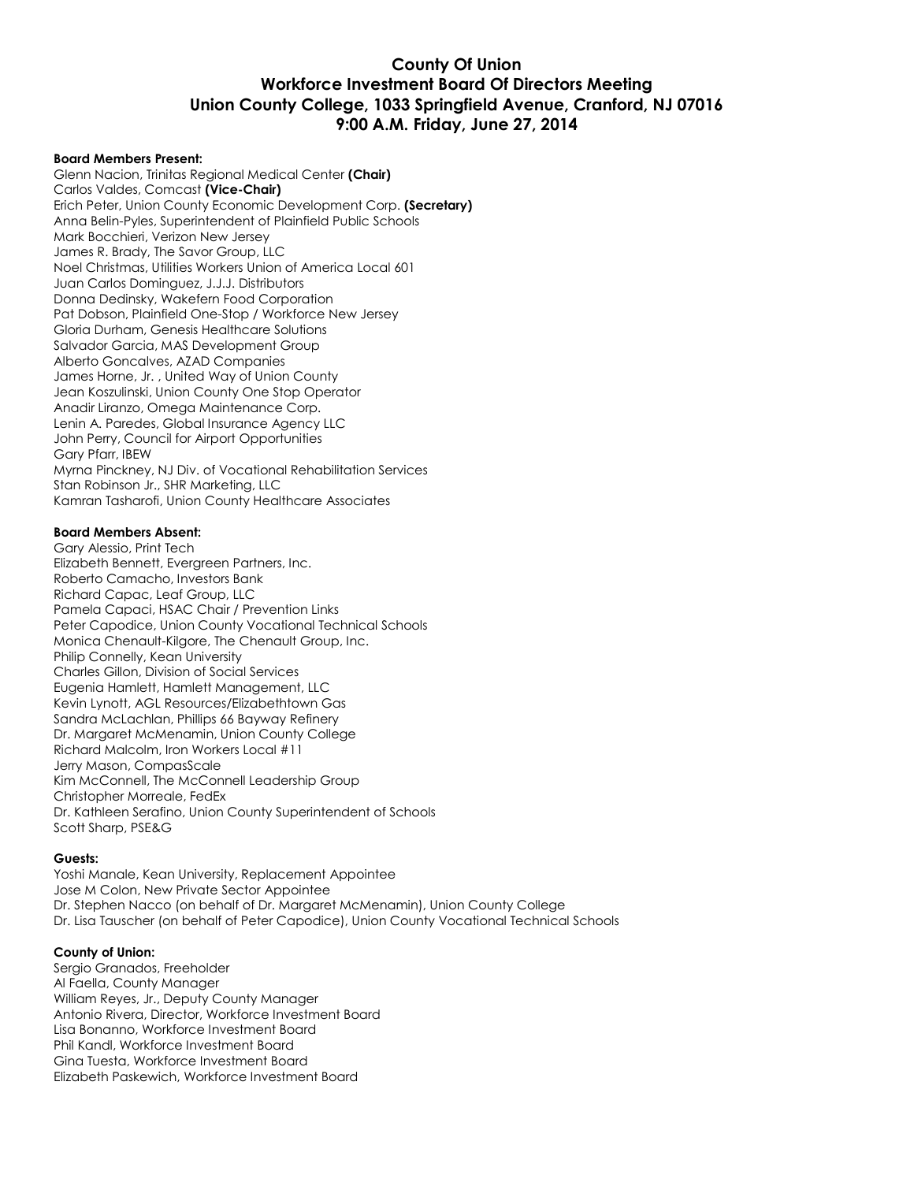### **County Of Union Workforce Investment Board Of Directors Meeting Union County College, 1033 Springfield Avenue, Cranford, NJ 07016 9:00 A.M. Friday, June 27, 2014**

#### **Board Members Present:**

Glenn Nacion, Trinitas Regional Medical Center **(Chair)** Carlos Valdes, Comcast **(Vice-Chair)** Erich Peter, Union County Economic Development Corp. **(Secretary)** Anna Belin-Pyles, Superintendent of Plainfield Public Schools Mark Bocchieri, Verizon New Jersey James R. Brady, The Savor Group, LLC Noel Christmas, Utilities Workers Union of America Local 601 Juan Carlos Dominguez, J.J.J. Distributors Donna Dedinsky, Wakefern Food Corporation Pat Dobson, Plainfield One-Stop / Workforce New Jersey Gloria Durham, Genesis Healthcare Solutions Salvador Garcia, MAS Development Group Alberto Goncalves, AZAD Companies James Horne, Jr. , United Way of Union County Jean Koszulinski, Union County One Stop Operator Anadir Liranzo, Omega Maintenance Corp. Lenin A. Paredes, Global Insurance Agency LLC John Perry, Council for Airport Opportunities Gary Pfarr, IBEW Myrna Pinckney, NJ Div. of Vocational Rehabilitation Services Stan Robinson Jr., SHR Marketing, LLC Kamran Tasharofi, Union County Healthcare Associates

#### **Board Members Absent:**

Gary Alessio, Print Tech Elizabeth Bennett, Evergreen Partners, Inc. Roberto Camacho, Investors Bank Richard Capac, Leaf Group, LLC Pamela Capaci, HSAC Chair / Prevention Links Peter Capodice, Union County Vocational Technical Schools Monica Chenault-Kilgore, The Chenault Group, Inc. Philip Connelly, Kean University Charles Gillon, Division of Social Services Eugenia Hamlett, Hamlett Management, LLC Kevin Lynott, AGL Resources/Elizabethtown Gas Sandra McLachlan, Phillips 66 Bayway Refinery Dr. Margaret McMenamin, Union County College Richard Malcolm, Iron Workers Local #11 Jerry Mason, CompasScale Kim McConnell, The McConnell Leadership Group Christopher Morreale, FedEx Dr. Kathleen Serafino, Union County Superintendent of Schools Scott Sharp, PSE&G

#### **Guests:**

Yoshi Manale, Kean University, Replacement Appointee Jose M Colon, New Private Sector Appointee Dr. Stephen Nacco (on behalf of Dr. Margaret McMenamin), Union County College Dr. Lisa Tauscher (on behalf of Peter Capodice), Union County Vocational Technical Schools

#### **County of Union:**

Sergio Granados, Freeholder Al Faella, County Manager William Reyes, Jr., Deputy County Manager Antonio Rivera, Director, Workforce Investment Board Lisa Bonanno, Workforce Investment Board Phil Kandl, Workforce Investment Board Gina Tuesta, Workforce Investment Board Elizabeth Paskewich, Workforce Investment Board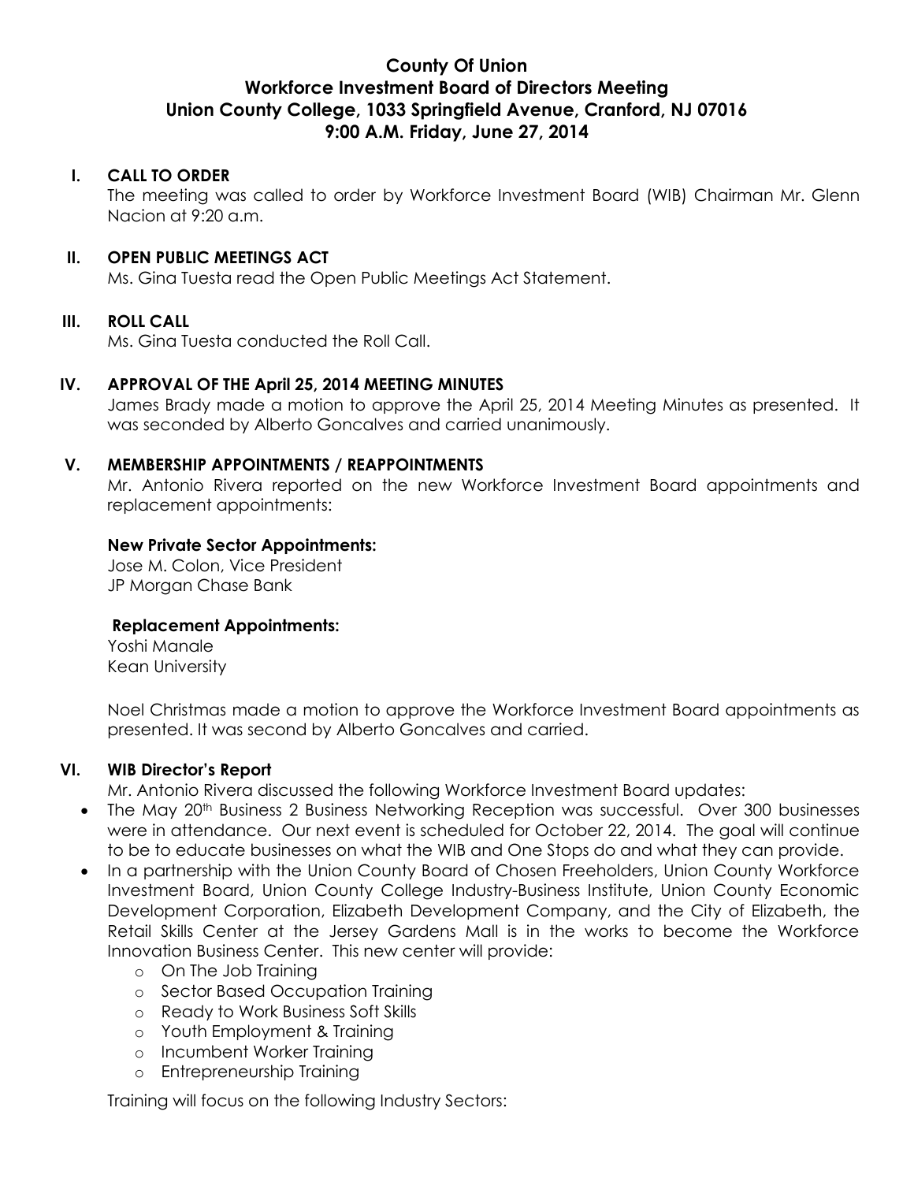# **County Of Union Workforce Investment Board of Directors Meeting Union County College, 1033 Springfield Avenue, Cranford, NJ 07016 9:00 A.M. Friday, June 27, 2014**

# **I. CALL TO ORDER**

The meeting was called to order by Workforce Investment Board (WIB) Chairman Mr. Glenn Nacion at 9:20 a.m.

### **II. OPEN PUBLIC MEETINGS ACT**

Ms. Gina Tuesta read the Open Public Meetings Act Statement.

### **III. ROLL CALL**

Ms. Gina Tuesta conducted the Roll Call.

# **IV. APPROVAL OF THE April 25, 2014 MEETING MINUTES**

James Brady made a motion to approve the April 25, 2014 Meeting Minutes as presented. It was seconded by Alberto Goncalves and carried unanimously.

### **V. MEMBERSHIP APPOINTMENTS / REAPPOINTMENTS**

Mr. Antonio Rivera reported on the new Workforce Investment Board appointments and replacement appointments:

# **New Private Sector Appointments:**

Jose M. Colon, Vice President JP Morgan Chase Bank

### **Replacement Appointments:**

Yoshi Manale Kean University

Noel Christmas made a motion to approve the Workforce Investment Board appointments as presented. It was second by Alberto Goncalves and carried.

### **VI. WIB Director's Report**

Mr. Antonio Rivera discussed the following Workforce Investment Board updates:

- The May 20<sup>th</sup> Business 2 Business Networking Reception was successful. Over 300 businesses were in attendance. Our next event is scheduled for October 22, 2014. The goal will continue to be to educate businesses on what the WIB and One Stops do and what they can provide.
- In a partnership with the Union County Board of Chosen Freeholders, Union County Workforce Investment Board, Union County College Industry-Business Institute, Union County Economic Development Corporation, Elizabeth Development Company, and the City of Elizabeth, the Retail Skills Center at the Jersey Gardens Mall is in the works to become the Workforce Innovation Business Center. This new center will provide:
	- o On The Job Training
	- o Sector Based Occupation Training
	- o Ready to Work Business Soft Skills
	- o Youth Employment & Training
	- o Incumbent Worker Training
	- o Entrepreneurship Training

Training will focus on the following Industry Sectors: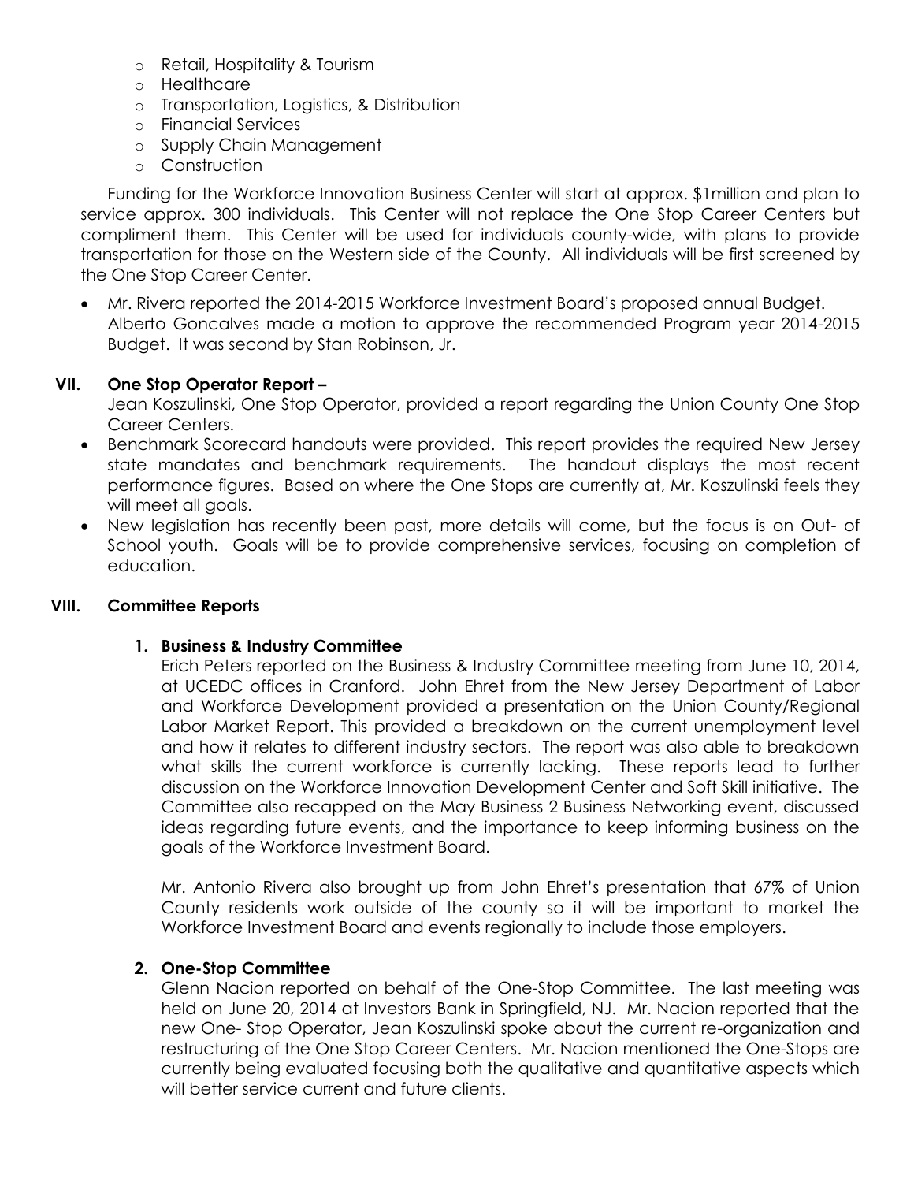- o Retail, Hospitality & Tourism
- o Healthcare
- o Transportation, Logistics, & Distribution
- o Financial Services
- o Supply Chain Management
- o Construction

Funding for the Workforce Innovation Business Center will start at approx. \$1million and plan to service approx. 300 individuals. This Center will not replace the One Stop Career Centers but compliment them. This Center will be used for individuals county-wide, with plans to provide transportation for those on the Western side of the County. All individuals will be first screened by the One Stop Career Center.

 Mr. Rivera reported the 2014-2015 Workforce Investment Board's proposed annual Budget. Alberto Goncalves made a motion to approve the recommended Program year 2014-2015 Budget. It was second by Stan Robinson, Jr.

# **VII. One Stop Operator Report –**

Jean Koszulinski, One Stop Operator, provided a report regarding the Union County One Stop Career Centers.

- Benchmark Scorecard handouts were provided. This report provides the required New Jersey state mandates and benchmark requirements. The handout displays the most recent performance figures. Based on where the One Stops are currently at, Mr. Koszulinski feels they will meet all goals.
- New legislation has recently been past, more details will come, but the focus is on Out- of School youth. Goals will be to provide comprehensive services, focusing on completion of education.

### **VIII. Committee Reports**

### **1. Business & Industry Committee**

Erich Peters reported on the Business & Industry Committee meeting from June 10, 2014, at UCEDC offices in Cranford. John Ehret from the New Jersey Department of Labor and Workforce Development provided a presentation on the Union County/Regional Labor Market Report. This provided a breakdown on the current unemployment level and how it relates to different industry sectors. The report was also able to breakdown what skills the current workforce is currently lacking. These reports lead to further discussion on the Workforce Innovation Development Center and Soft Skill initiative. The Committee also recapped on the May Business 2 Business Networking event, discussed ideas regarding future events, and the importance to keep informing business on the goals of the Workforce Investment Board.

Mr. Antonio Rivera also brought up from John Ehret's presentation that 67% of Union County residents work outside of the county so it will be important to market the Workforce Investment Board and events regionally to include those employers.

### **2. One-Stop Committee**

Glenn Nacion reported on behalf of the One-Stop Committee. The last meeting was held on June 20, 2014 at Investors Bank in Springfield, NJ. Mr. Nacion reported that the new One- Stop Operator, Jean Koszulinski spoke about the current re-organization and restructuring of the One Stop Career Centers. Mr. Nacion mentioned the One-Stops are currently being evaluated focusing both the qualitative and quantitative aspects which will better service current and future clients.